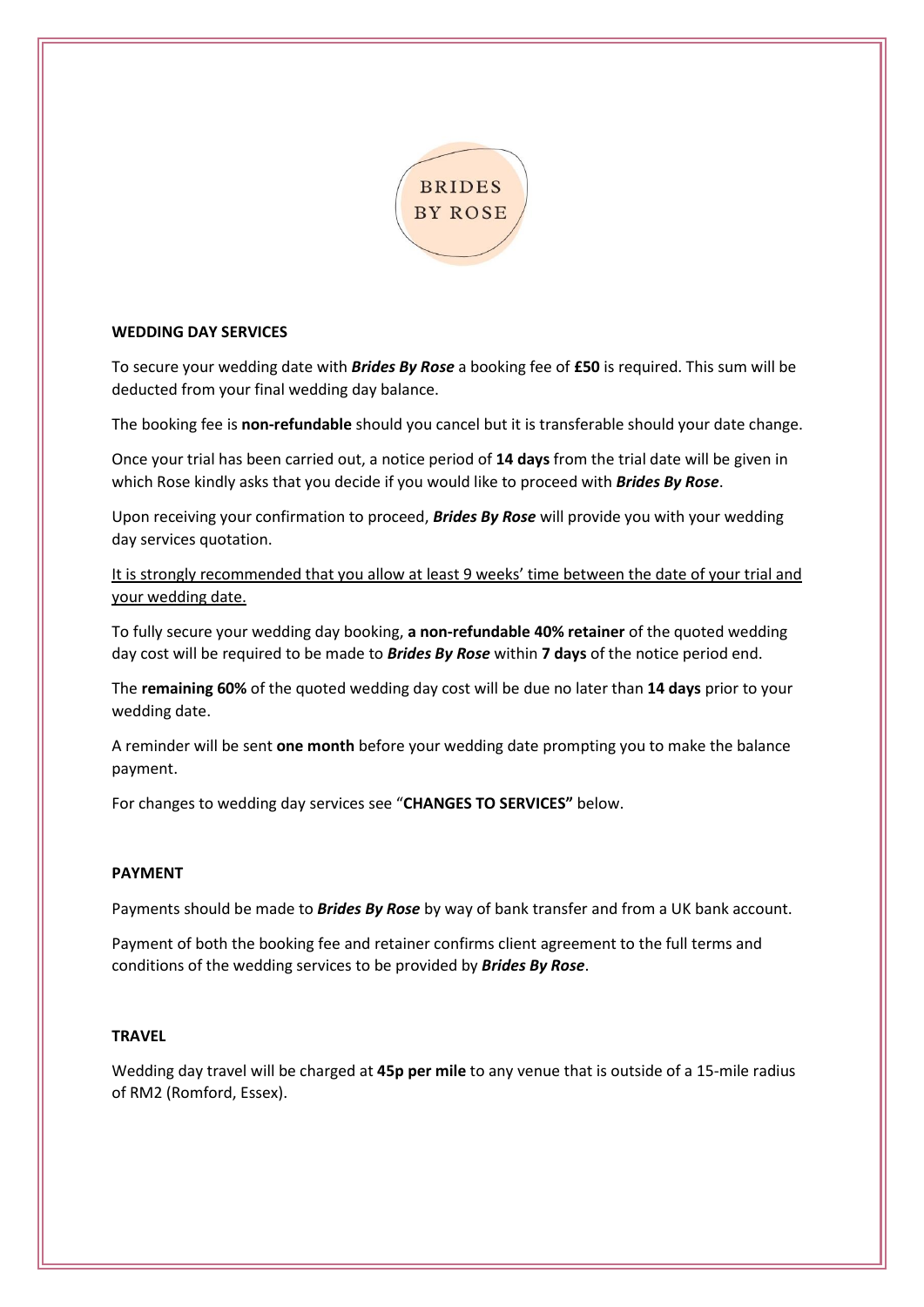

# **WEDDING DAY SERVICES**

To secure your wedding date with *Brides By Rose* a booking fee of **£50** is required. This sum will be deducted from your final wedding day balance.

The booking fee is **non-refundable** should you cancel but it is transferable should your date change.

Once your trial has been carried out, a notice period of **14 days** from the trial date will be given in which Rose kindly asks that you decide if you would like to proceed with *Brides By Rose*.

Upon receiving your confirmation to proceed, *Brides By Rose* will provide you with your wedding day services quotation.

It is strongly recommended that you allow at least 9 weeks' time between the date of your trial and your wedding date.

To fully secure your wedding day booking, **a non-refundable 40% retainer** of the quoted wedding day cost will be required to be made to *Brides By Rose* within **7 days** of the notice period end.

The **remaining 60%** of the quoted wedding day cost will be due no later than **14 days** prior to your wedding date.

A reminder will be sent **one month** before your wedding date prompting you to make the balance payment.

For changes to wedding day services see "**CHANGES TO SERVICES"** below.

# **PAYMENT**

Payments should be made to *Brides By Rose* by way of bank transfer and from a UK bank account.

Payment of both the booking fee and retainer confirms client agreement to the full terms and conditions of the wedding services to be provided by *Brides By Rose*.

# **TRAVEL**

Wedding day travel will be charged at **45p per mile** to any venue that is outside of a 15-mile radius of RM2 (Romford, Essex).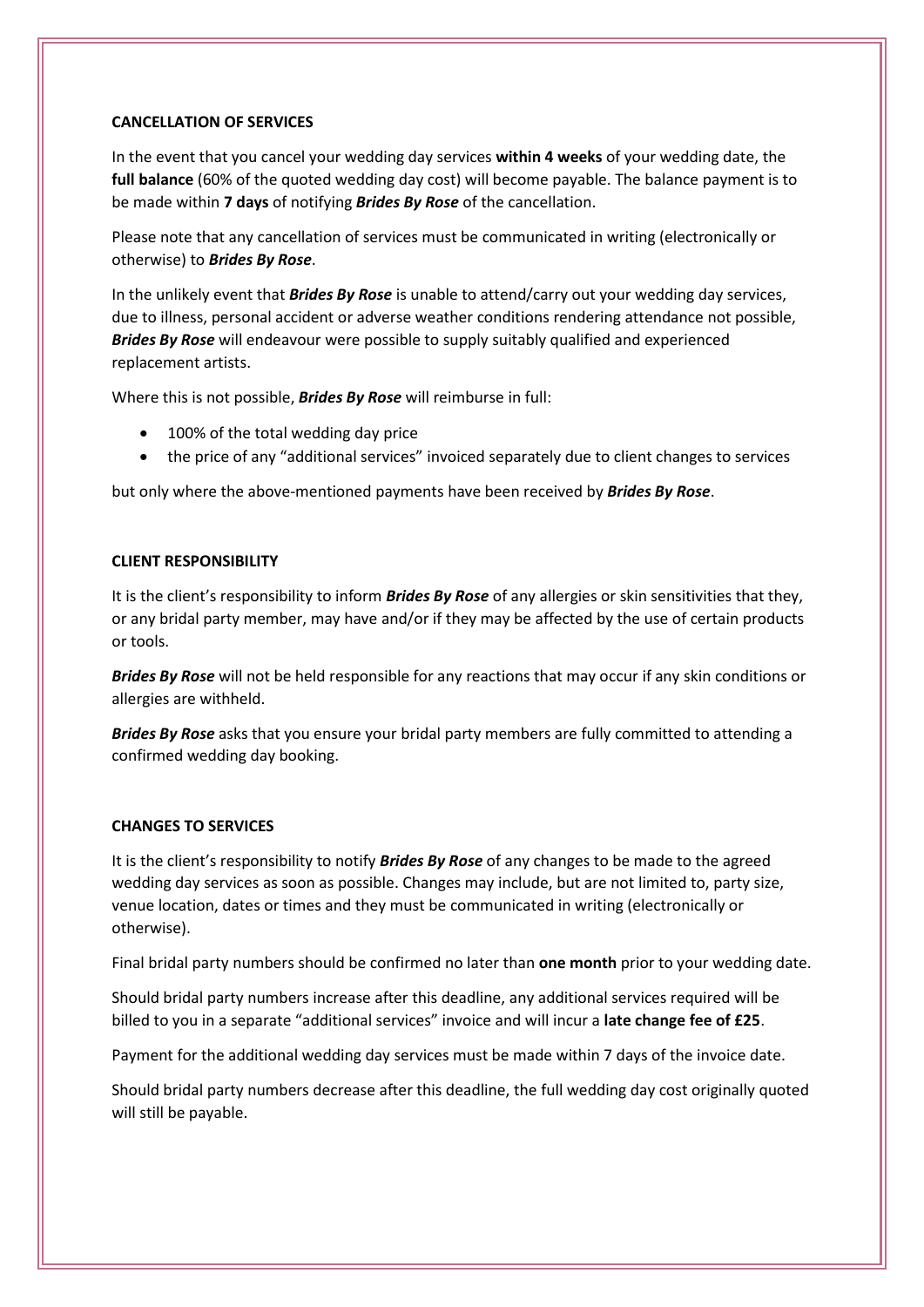#### **CANCELLATION OF SERVICES**

In the event that you cancel your wedding day services **within 4 weeks** of your wedding date, the **full balance** (60% of the quoted wedding day cost) will become payable. The balance payment is to be made within **7 days** of notifying *Brides By Rose* of the cancellation.

Please note that any cancellation of services must be communicated in writing (electronically or otherwise) to *Brides By Rose*.

In the unlikely event that *Brides By Rose* is unable to attend/carry out your wedding day services, due to illness, personal accident or adverse weather conditions rendering attendance not possible, *Brides By Rose* will endeavour were possible to supply suitably qualified and experienced replacement artists.

Where this is not possible, *Brides By Rose* will reimburse in full:

- 100% of the total wedding day price
- the price of any "additional services" invoiced separately due to client changes to services

but only where the above-mentioned payments have been received by *Brides By Rose*.

## **CLIENT RESPONSIBILITY**

It is the client's responsibility to inform *Brides By Rose* of any allergies or skin sensitivities that they, or any bridal party member, may have and/or if they may be affected by the use of certain products or tools.

*Brides By Rose* will not be held responsible for any reactions that may occur if any skin conditions or allergies are withheld.

*Brides By Rose* asks that you ensure your bridal party members are fully committed to attending a confirmed wedding day booking.

# **CHANGES TO SERVICES**

It is the client's responsibility to notify *Brides By Rose* of any changes to be made to the agreed wedding day services as soon as possible. Changes may include, but are not limited to, party size, venue location, dates or times and they must be communicated in writing (electronically or otherwise).

Final bridal party numbers should be confirmed no later than **one month** prior to your wedding date.

Should bridal party numbers increase after this deadline, any additional services required will be billed to you in a separate "additional services" invoice and will incur a **late change fee of £25**.

Payment for the additional wedding day services must be made within 7 days of the invoice date.

Should bridal party numbers decrease after this deadline, the full wedding day cost originally quoted will still be payable.